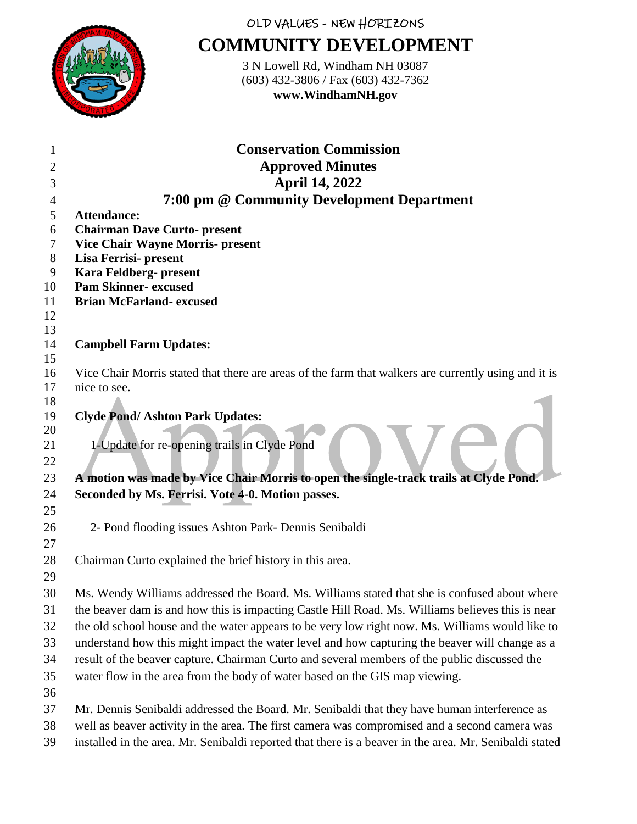

## OLD VALUES - NEW HORIZONS **COMMUNITY DEVELOPMENT**

3 N Lowell Rd, Windham NH 03087 (603) 432-3806 / Fax (603) 432-7362 **www.WindhamNH.gov**

| 1        | <b>Conservation Commission</b>                                                                       |
|----------|------------------------------------------------------------------------------------------------------|
| 2        | <b>Approved Minutes</b>                                                                              |
| 3        | <b>April 14, 2022</b>                                                                                |
| 4        | 7:00 pm @ Community Development Department                                                           |
| 5        | <b>Attendance:</b>                                                                                   |
| 6        | <b>Chairman Dave Curto- present</b>                                                                  |
| 7        | <b>Vice Chair Wayne Morris- present</b>                                                              |
| 8        | Lisa Ferrisi- present                                                                                |
| 9        | Kara Feldberg- present                                                                               |
| 10<br>11 | <b>Pam Skinner- excused</b><br><b>Brian McFarland- excused</b>                                       |
| 12       |                                                                                                      |
| 13       |                                                                                                      |
| 14       | <b>Campbell Farm Updates:</b>                                                                        |
| 15       |                                                                                                      |
| 16       | Vice Chair Morris stated that there are areas of the farm that walkers are currently using and it is |
| 17       | nice to see.                                                                                         |
| 18       |                                                                                                      |
| 19       | <b>Clyde Pond/Ashton Park Updates:</b>                                                               |
| 20       |                                                                                                      |
| 21       | 1-Update for re-opening trails in Clyde Pond                                                         |
| 22       |                                                                                                      |
| 23       | A motion was made by Vice Chair Morris to open the single-track trails at Clyde Pond.                |
| 24       | Seconded by Ms. Ferrisi. Vote 4-0. Motion passes.                                                    |
| 25       |                                                                                                      |
| 26       | 2- Pond flooding issues Ashton Park- Dennis Senibaldi                                                |
| 27       |                                                                                                      |
| 28       | Chairman Curto explained the brief history in this area.                                             |
| 29       |                                                                                                      |
| 30       | Ms. Wendy Williams addressed the Board. Ms. Williams stated that she is confused about where         |
| 31       | the beaver dam is and how this is impacting Castle Hill Road. Ms. Williams believes this is near     |
| 32       | the old school house and the water appears to be very low right now. Ms. Williams would like to      |
| 33       | understand how this might impact the water level and how capturing the beaver will change as a       |
| 34       | result of the beaver capture. Chairman Curto and several members of the public discussed the         |
| 35       | water flow in the area from the body of water based on the GIS map viewing.                          |
| 36       |                                                                                                      |
| 37       | Mr. Dennis Senibaldi addressed the Board. Mr. Senibaldi that they have human interference as         |
| 38       | well as beaver activity in the area. The first camera was compromised and a second camera was        |

installed in the area. Mr. Senibaldi reported that there is a beaver in the area. Mr. Senibaldi stated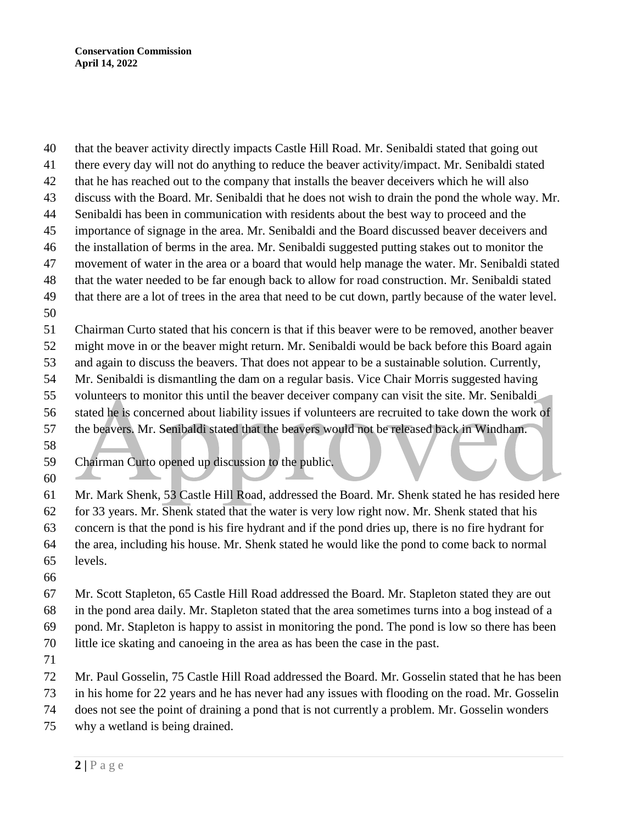that the beaver activity directly impacts Castle Hill Road. Mr. Senibaldi stated that going out there every day will not do anything to reduce the beaver activity/impact. Mr. Senibaldi stated that he has reached out to the company that installs the beaver deceivers which he will also discuss with the Board. Mr. Senibaldi that he does not wish to drain the pond the whole way. Mr. Senibaldi has been in communication with residents about the best way to proceed and the importance of signage in the area. Mr. Senibaldi and the Board discussed beaver deceivers and the installation of berms in the area. Mr. Senibaldi suggested putting stakes out to monitor the movement of water in the area or a board that would help manage the water. Mr. Senibaldi stated that the water needed to be far enough back to allow for road construction. Mr. Senibaldi stated that there are a lot of trees in the area that need to be cut down, partly because of the water level. Chairman Curto stated that his concern is that if this beaver were to be removed, another beaver might move in or the beaver might return. Mr. Senibaldi would be back before this Board again and again to discuss the beavers. That does not appear to be a sustainable solution. Currently, Mr. Senibaldi is dismantling the dam on a regular basis. Vice Chair Morris suggested having volunteers to monitor this until the beaver deceiver company can visit the site. Mr. Senibaldi stated he is concerned about liability issues if volunteers are recruited to take down the work of the beavers. Mr. Senibaldi stated that the beavers would not be released back in Windham. Chairman Curto opened up discussion to the public. 

 Mr. Mark Shenk, 53 Castle Hill Road, addressed the Board. Mr. Shenk stated he has resided here for 33 years. Mr. Shenk stated that the water is very low right now. Mr. Shenk stated that his concern is that the pond is his fire hydrant and if the pond dries up, there is no fire hydrant for the area, including his house. Mr. Shenk stated he would like the pond to come back to normal levels.

 Mr. Scott Stapleton, 65 Castle Hill Road addressed the Board. Mr. Stapleton stated they are out in the pond area daily. Mr. Stapleton stated that the area sometimes turns into a bog instead of a pond. Mr. Stapleton is happy to assist in monitoring the pond. The pond is low so there has been little ice skating and canoeing in the area as has been the case in the past.

- 
- Mr. Paul Gosselin, 75 Castle Hill Road addressed the Board. Mr. Gosselin stated that he has been
- in his home for 22 years and he has never had any issues with flooding on the road. Mr. Gosselin
- does not see the point of draining a pond that is not currently a problem. Mr. Gosselin wonders
- why a wetland is being drained.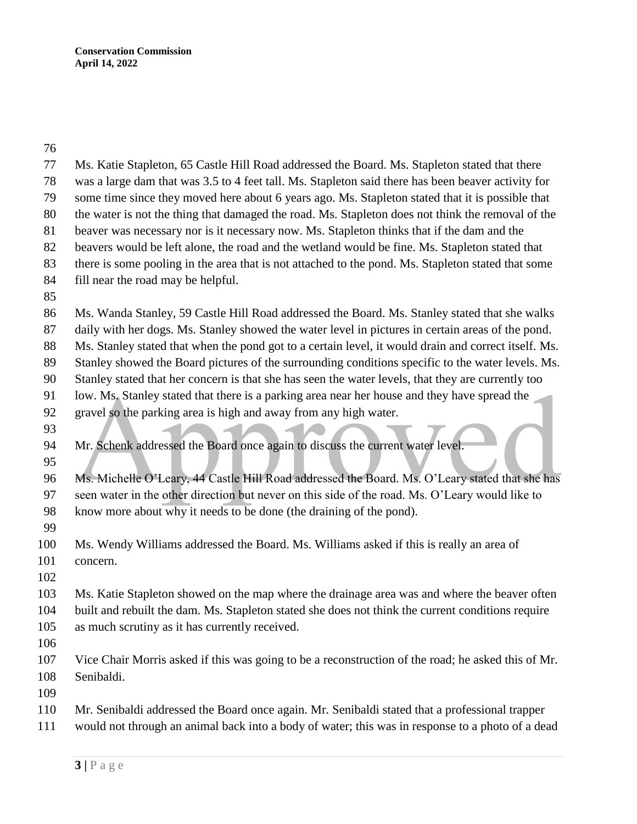| 77       | Ms. Katie Stapleton, 65 Castle Hill Road addressed the Board. Ms. Stapleton stated that there        |
|----------|------------------------------------------------------------------------------------------------------|
| 78       | was a large dam that was 3.5 to 4 feet tall. Ms. Stapleton said there has been beaver activity for   |
| 79       | some time since they moved here about 6 years ago. Ms. Stapleton stated that it is possible that     |
| 80       | the water is not the thing that damaged the road. Ms. Stapleton does not think the removal of the    |
| 81       | beaver was necessary nor is it necessary now. Ms. Stapleton thinks that if the dam and the           |
| 82       | beavers would be left alone, the road and the wetland would be fine. Ms. Stapleton stated that       |
| 83       | there is some pooling in the area that is not attached to the pond. Ms. Stapleton stated that some   |
| 84       | fill near the road may be helpful.                                                                   |
| 85       |                                                                                                      |
| 86       | Ms. Wanda Stanley, 59 Castle Hill Road addressed the Board. Ms. Stanley stated that she walks        |
| 87       | daily with her dogs. Ms. Stanley showed the water level in pictures in certain areas of the pond.    |
| 88       | Ms. Stanley stated that when the pond got to a certain level, it would drain and correct itself. Ms. |
| 89       | Stanley showed the Board pictures of the surrounding conditions specific to the water levels. Ms.    |
| 90       | Stanley stated that her concern is that she has seen the water levels, that they are currently too   |
| 91       | low. Ms. Stanley stated that there is a parking area near her house and they have spread the         |
| 92       | gravel so the parking area is high and away from any high water.                                     |
| 93       |                                                                                                      |
| 94<br>95 | Mr. Schenk addressed the Board once again to discuss the current water level.                        |
| 96       | Ms. Michelle O'Leary, 44 Castle Hill Road addressed the Board. Ms. O'Leary stated that she has       |
| 97       | seen water in the other direction but never on this side of the road. Ms. O'Leary would like to      |
| 98       | know more about why it needs to be done (the draining of the pond).                                  |
| 99       |                                                                                                      |
| 100      | Ms. Wendy Williams addressed the Board. Ms. Williams asked if this is really an area of              |
| 101      | concern.                                                                                             |
| 102      |                                                                                                      |
| 103      | Ms. Katie Stapleton showed on the map where the drainage area was and where the beaver often         |
| 104      | built and rebuilt the dam. Ms. Stapleton stated she does not think the current conditions require    |
| 105      | as much scrutiny as it has currently received.                                                       |
| 106      |                                                                                                      |
| 107      | Vice Chair Morris asked if this was going to be a reconstruction of the road; he asked this of Mr.   |
| 108      | Senibaldi.                                                                                           |
| 109      |                                                                                                      |
| 110      | Mr. Senibaldi addressed the Board once again. Mr. Senibaldi stated that a professional trapper       |
| 111      | would not through an animal back into a body of water; this was in response to a photo of a dead     |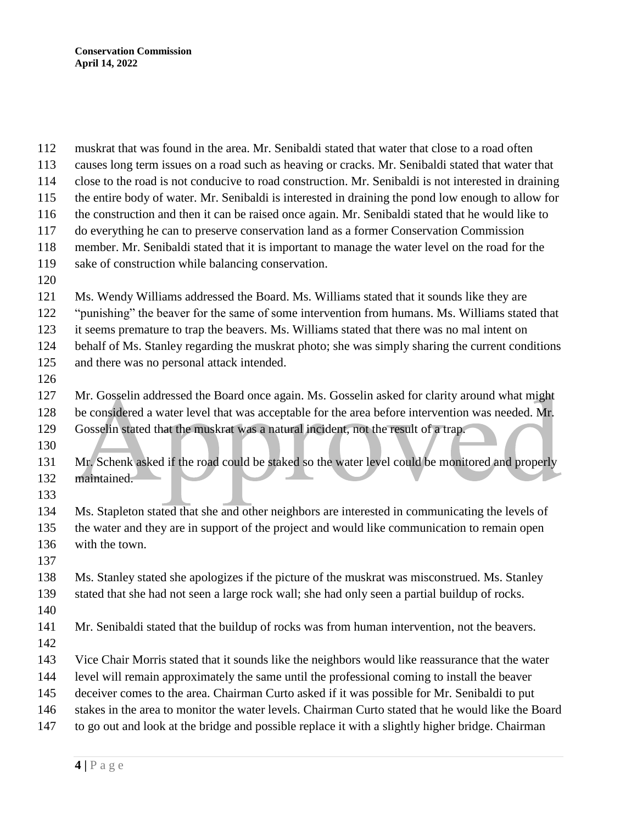**|** P a g e muskrat that was found in the area. Mr. Senibaldi stated that water that close to a road often causes long term issues on a road such as heaving or cracks. Mr. Senibaldi stated that water that close to the road is not conducive to road construction. Mr. Senibaldi is not interested in draining the entire body of water. Mr. Senibaldi is interested in draining the pond low enough to allow for the construction and then it can be raised once again. Mr. Senibaldi stated that he would like to do everything he can to preserve conservation land as a former Conservation Commission member. Mr. Senibaldi stated that it is important to manage the water level on the road for the sake of construction while balancing conservation. Ms. Wendy Williams addressed the Board. Ms. Williams stated that it sounds like they are "punishing" the beaver for the same of some intervention from humans. Ms. Williams stated that it seems premature to trap the beavers. Ms. Williams stated that there was no mal intent on behalf of Ms. Stanley regarding the muskrat photo; she was simply sharing the current conditions and there was no personal attack intended. Mr. Gosselin addressed the Board once again. Ms. Gosselin asked for clarity around what might be considered a water level that was acceptable for the area before intervention was needed. Mr. Gosselin stated that the muskrat was a natural incident, not the result of a trap. Mr. Schenk asked if the road could be staked so the water level could be monitored and properly maintained. Ms. Stapleton stated that she and other neighbors are interested in communicating the levels of the water and they are in support of the project and would like communication to remain open with the town. Ms. Stanley stated she apologizes if the picture of the muskrat was misconstrued. Ms. Stanley stated that she had not seen a large rock wall; she had only seen a partial buildup of rocks. Mr. Senibaldi stated that the buildup of rocks was from human intervention, not the beavers. Vice Chair Morris stated that it sounds like the neighbors would like reassurance that the water level will remain approximately the same until the professional coming to install the beaver deceiver comes to the area. Chairman Curto asked if it was possible for Mr. Senibaldi to put stakes in the area to monitor the water levels. Chairman Curto stated that he would like the Board to go out and look at the bridge and possible replace it with a slightly higher bridge. Chairman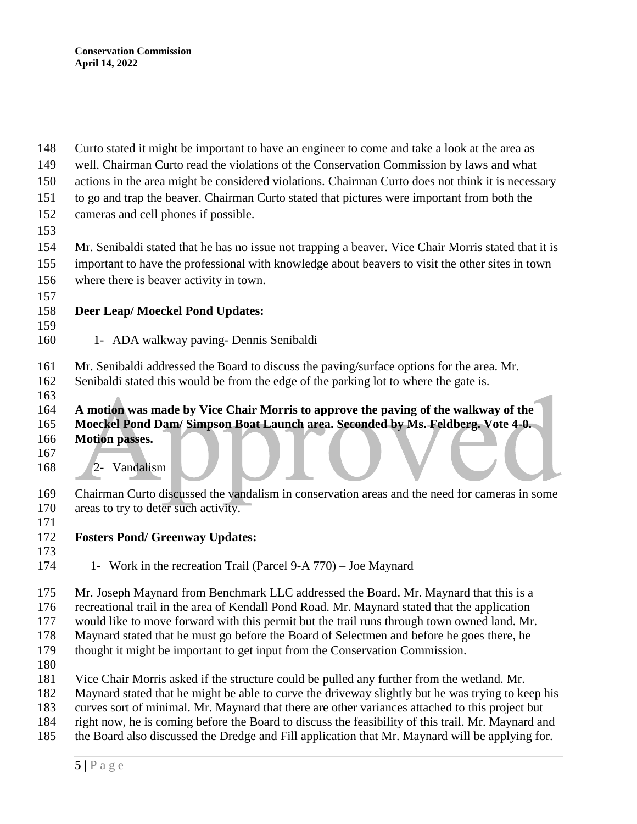- Curto stated it might be important to have an engineer to come and take a look at the area as
- well. Chairman Curto read the violations of the Conservation Commission by laws and what
- actions in the area might be considered violations. Chairman Curto does not think it is necessary
- to go and trap the beaver. Chairman Curto stated that pictures were important from both the
- cameras and cell phones if possible.
- 

 Mr. Senibaldi stated that he has no issue not trapping a beaver. Vice Chair Morris stated that it is important to have the professional with knowledge about beavers to visit the other sites in town where there is beaver activity in town.

## **Deer Leap/ Moeckel Pond Updates:**

- 1- ADA walkway paving- Dennis Senibaldi
- Mr. Senibaldi addressed the Board to discuss the paving/surface options for the area. Mr.
- Senibaldi stated this would be from the edge of the parking lot to where the gate is.
- **A motion was made by Vice Chair Morris to approve the paving of the walkway of the**
- **Moeckel Pond Dam/ Simpson Boat Launch area. Seconded by Ms. Feldberg. Vote 4-0.**
- **Motion passes.**
- 
- 2- Vandalism
- Chairman Curto discussed the vandalism in conservation areas and the need for cameras in some areas to try to deter such activity.
- 
- **Fosters Pond/ Greenway Updates:**
- 
- 174 1- Work in the recreation Trail (Parcel 9-A 770) Joe Maynard

Mr. Joseph Maynard from Benchmark LLC addressed the Board. Mr. Maynard that this is a

recreational trail in the area of Kendall Pond Road. Mr. Maynard stated that the application

would like to move forward with this permit but the trail runs through town owned land. Mr.

Maynard stated that he must go before the Board of Selectmen and before he goes there, he

thought it might be important to get input from the Conservation Commission.

- 
- Vice Chair Morris asked if the structure could be pulled any further from the wetland. Mr.

Maynard stated that he might be able to curve the driveway slightly but he was trying to keep his

- curves sort of minimal. Mr. Maynard that there are other variances attached to this project but
- right now, he is coming before the Board to discuss the feasibility of this trail. Mr. Maynard and
- the Board also discussed the Dredge and Fill application that Mr. Maynard will be applying for.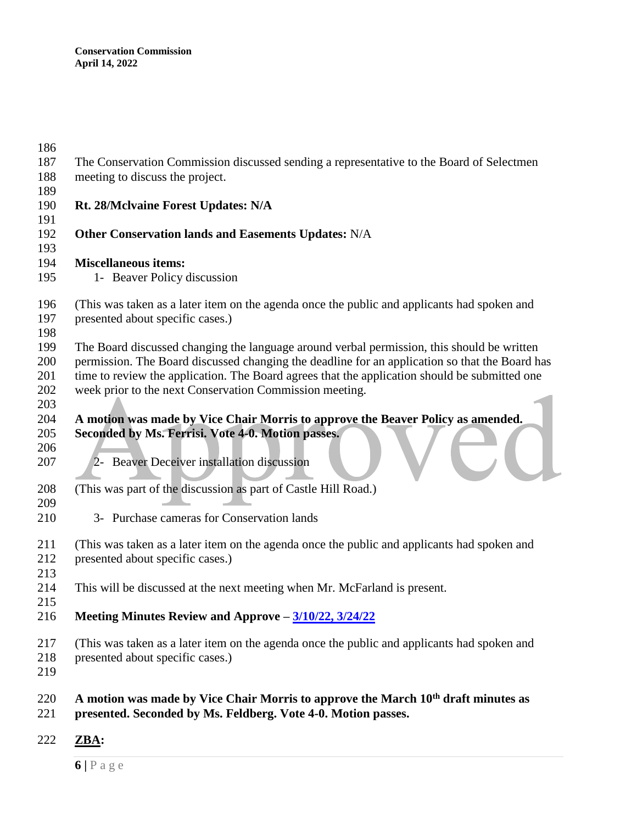| 186 |                                                                                                |
|-----|------------------------------------------------------------------------------------------------|
| 187 | The Conservation Commission discussed sending a representative to the Board of Selectmen       |
| 188 | meeting to discuss the project.                                                                |
| 189 |                                                                                                |
| 190 | Rt. 28/McIvaine Forest Updates: N/A                                                            |
| 191 |                                                                                                |
| 192 | Other Conservation lands and Easements Updates: N/A                                            |
| 193 |                                                                                                |
| 194 | <b>Miscellaneous items:</b>                                                                    |
| 195 | 1- Beaver Policy discussion                                                                    |
| 196 | (This was taken as a later item on the agenda once the public and applicants had spoken and    |
| 197 | presented about specific cases.)                                                               |
| 198 |                                                                                                |
| 199 | The Board discussed changing the language around verbal permission, this should be written     |
| 200 | permission. The Board discussed changing the deadline for an application so that the Board has |
| 201 | time to review the application. The Board agrees that the application should be submitted one  |
| 202 | week prior to the next Conservation Commission meeting.                                        |
| 203 |                                                                                                |
| 204 | A motion was made by Vice Chair Morris to approve the Beaver Policy as amended.                |
| 205 | Seconded by Ms. Ferrisi. Vote 4-0. Motion passes.                                              |
| 206 |                                                                                                |
| 207 | Beaver Deceiver installation discussion                                                        |
|     |                                                                                                |
| 208 | (This was part of the discussion as part of Castle Hill Road.)                                 |
| 209 |                                                                                                |
| 210 | 3- Purchase cameras for Conservation lands                                                     |
| 211 | (This was taken as a later item on the agenda once the public and applicants had spoken and    |
| 212 | presented about specific cases.)                                                               |
| 213 |                                                                                                |
| 214 | This will be discussed at the next meeting when Mr. McFarland is present.                      |
| 215 |                                                                                                |
| 216 | Meeting Minutes Review and Approve – 3/10/22, 3/24/22                                          |
| 217 | (This was taken as a later item on the agenda once the public and applicants had spoken and    |
| 218 | presented about specific cases.)                                                               |
| 219 |                                                                                                |
| 220 | A motion was made by Vice Chair Morris to approve the March 10 <sup>th</sup> draft minutes as  |
| 221 | presented. Seconded by Ms. Feldberg. Vote 4-0. Motion passes.                                  |
|     |                                                                                                |

**ZBA:**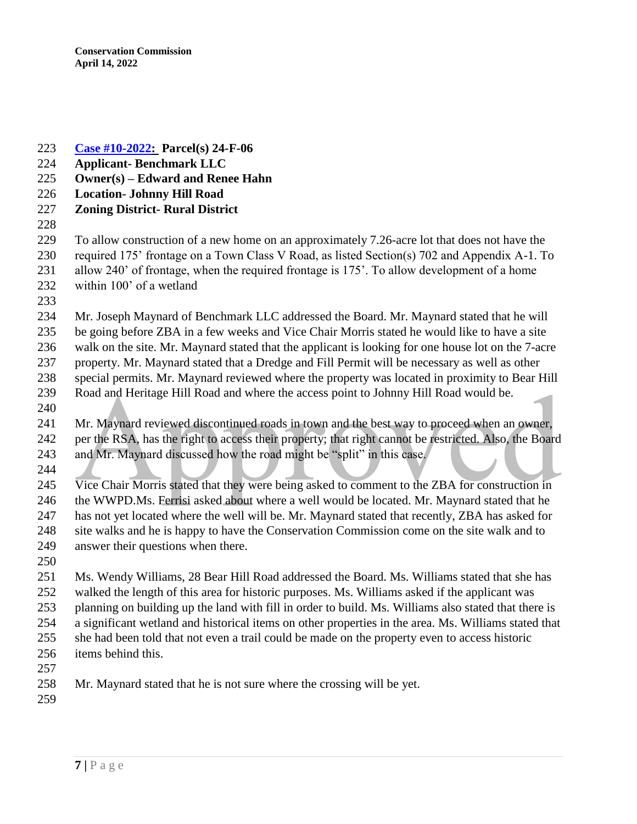- **[Case #10-2022:](https://www.windhamnh.gov/DocumentCenter/Index/947) Parcel(s) 24-F-06**
- **Applicant- Benchmark LLC**
- **Owner(s) – Edward and Renee Hahn**
- **Location- Johnny Hill Road**
- **Zoning District- Rural District**
- 

 To allow construction of a new home on an approximately 7.26-acre lot that does not have the required 175' frontage on a Town Class V Road, as listed Section(s) 702 and Appendix A-1. To allow 240' of frontage, when the required frontage is 175'. To allow development of a home

- within 100' of a wetland
- 

 Mr. Joseph Maynard of Benchmark LLC addressed the Board. Mr. Maynard stated that he will be going before ZBA in a few weeks and Vice Chair Morris stated he would like to have a site

walk on the site. Mr. Maynard stated that the applicant is looking for one house lot on the 7-acre

- property. Mr. Maynard stated that a Dredge and Fill Permit will be necessary as well as other special permits. Mr. Maynard reviewed where the property was located in proximity to Bear Hill
- Road and Heritage Hill Road and where the access point to Johnny Hill Road would be.
- Mr. Maynard reviewed discontinued roads in town and the best way to proceed when an owner,
- per the RSA, has the right to access their property; that right cannot be restricted. Also, the Board
- and Mr. Maynard discussed how the road might be "split" in this case.
- 

 Vice Chair Morris stated that they were being asked to comment to the ZBA for construction in 246 the WWPD.Ms. Ferrisi asked about where a well would be located. Mr. Maynard stated that he has not yet located where the well will be. Mr. Maynard stated that recently, ZBA has asked for site walks and he is happy to have the Conservation Commission come on the site walk and to answer their questions when there.

 Ms. Wendy Williams, 28 Bear Hill Road addressed the Board. Ms. Williams stated that she has walked the length of this area for historic purposes. Ms. Williams asked if the applicant was planning on building up the land with fill in order to build. Ms. Williams also stated that there is a significant wetland and historical items on other properties in the area. Ms. Williams stated that she had been told that not even a trail could be made on the property even to access historic items behind this.

- 
- Mr. Maynard stated that he is not sure where the crossing will be yet.
-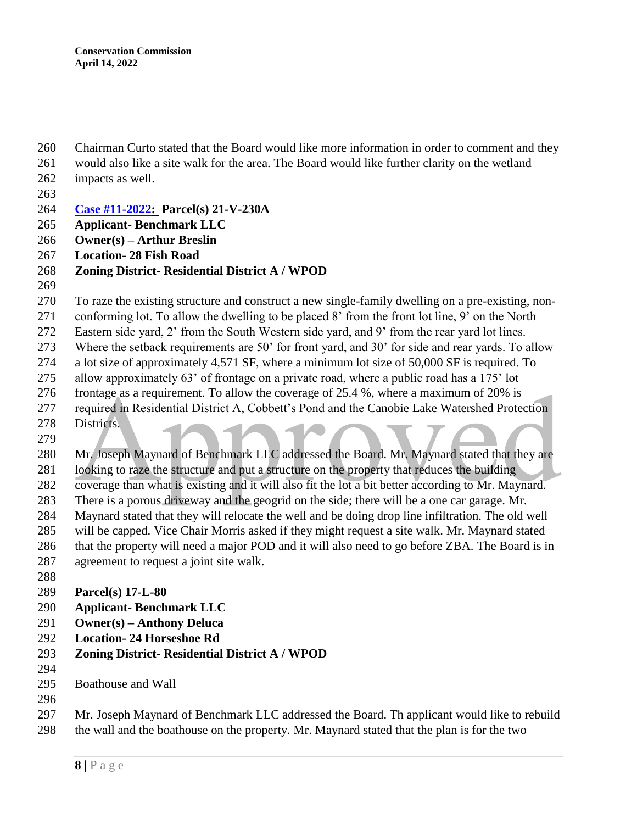Chairman Curto stated that the Board would like more information in order to comment and they

- would also like a site walk for the area. The Board would like further clarity on the wetland impacts as well.
- 
- **[Case #11-2022:](https://www.windhamnh.gov/DocumentCenter/Index/948) Parcel(s) 21-V-230A**
- **Applicant- Benchmark LLC**
- **Owner(s) – Arthur Breslin**
- **Location- 28 Fish Road**
- **Zoning District- Residential District A / WPOD**
- 

To raze the existing structure and construct a new single-family dwelling on a pre-existing, non-

conforming lot. To allow the dwelling to be placed 8' from the front lot line, 9' on the North

Eastern side yard, 2' from the South Western side yard, and 9' from the rear yard lot lines.

Where the setback requirements are 50' for front yard, and 30' for side and rear yards. To allow

- a lot size of approximately 4,571 SF, where a minimum lot size of 50,000 SF is required. To
- allow approximately 63' of frontage on a private road, where a public road has a 175' lot

frontage as a requirement. To allow the coverage of 25.4 %, where a maximum of 20% is

- required in Residential District A, Cobbett's Pond and the Canobie Lake Watershed Protection Districts.
- 

Mr. Joseph Maynard of Benchmark LLC addressed the Board. Mr. Maynard stated that they are

looking to raze the structure and put a structure on the property that reduces the building

coverage than what is existing and it will also fit the lot a bit better according to Mr. Maynard.

- There is a porous driveway and the geogrid on the side; there will be a one car garage. Mr. Maynard stated that they will relocate the well and be doing drop line infiltration. The old well
- will be capped. Vice Chair Morris asked if they might request a site walk. Mr. Maynard stated
- that the property will need a major POD and it will also need to go before ZBA. The Board is in
- agreement to request a joint site walk.
- 
- **Parcel(s) 17-L-80**
- **Applicant- Benchmark LLC**
- **Owner(s) – Anthony Deluca**
- **Location- 24 Horseshoe Rd**
- **Zoning District- Residential District A / WPOD**
- 
- Boathouse and Wall
- 

 Mr. Joseph Maynard of Benchmark LLC addressed the Board. Th applicant would like to rebuild the wall and the boathouse on the property. Mr. Maynard stated that the plan is for the two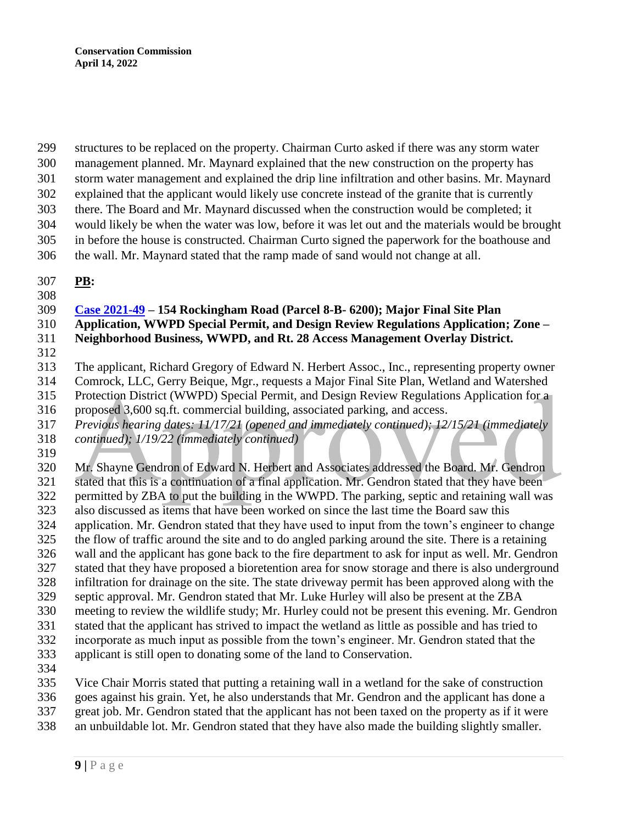structures to be replaced on the property. Chairman Curto asked if there was any storm water

- management planned. Mr. Maynard explained that the new construction on the property has
- storm water management and explained the drip line infiltration and other basins. Mr. Maynard
- explained that the applicant would likely use concrete instead of the granite that is currently there. The Board and Mr. Maynard discussed when the construction would be completed; it
- would likely be when the water was low, before it was let out and the materials would be brought
- in before the house is constructed. Chairman Curto signed the paperwork for the boathouse and
- the wall. Mr. Maynard stated that the ramp made of sand would not change at all.
- **PB:**
- 

## **[Case 2021-49](https://www.windhamnh.gov/DocumentCenter/Index/777) – 154 Rockingham Road (Parcel 8-B- 6200); Major Final Site Plan**

- **Application, WWPD Special Permit, and Design Review Regulations Application; Zone – Neighborhood Business, WWPD, and Rt. 28 Access Management Overlay District.**
- 
- The applicant, Richard Gregory of Edward N. Herbert Assoc., Inc., representing property owner
- Comrock, LLC, Gerry Beique, Mgr., requests a Major Final Site Plan, Wetland and Watershed
- Protection District (WWPD) Special Permit, and Design Review Regulations Application for a
- proposed 3,600 sq.ft. commercial building, associated parking, and access.
- *Previous hearing dates: 11/17/21 (opened and immediately continued); 12/15/21 (immediately*
- *continued); 1/19/22 (immediately continued)*
- 

 Mr. Shayne Gendron of Edward N. Herbert and Associates addressed the Board. Mr. Gendron stated that this is a continuation of a final application. Mr. Gendron stated that they have been permitted by ZBA to put the building in the WWPD. The parking, septic and retaining wall was also discussed as items that have been worked on since the last time the Board saw this application. Mr. Gendron stated that they have used to input from the town's engineer to change the flow of traffic around the site and to do angled parking around the site. There is a retaining wall and the applicant has gone back to the fire department to ask for input as well. Mr. Gendron stated that they have proposed a bioretention area for snow storage and there is also underground infiltration for drainage on the site. The state driveway permit has been approved along with the septic approval. Mr. Gendron stated that Mr. Luke Hurley will also be present at the ZBA meeting to review the wildlife study; Mr. Hurley could not be present this evening. Mr. Gendron stated that the applicant has strived to impact the wetland as little as possible and has tried to incorporate as much input as possible from the town's engineer. Mr. Gendron stated that the applicant is still open to donating some of the land to Conservation. Vice Chair Morris stated that putting a retaining wall in a wetland for the sake of construction goes against his grain. Yet, he also understands that Mr. Gendron and the applicant has done a

- great job. Mr. Gendron stated that the applicant has not been taxed on the property as if it were
- an unbuildable lot. Mr. Gendron stated that they have also made the building slightly smaller.